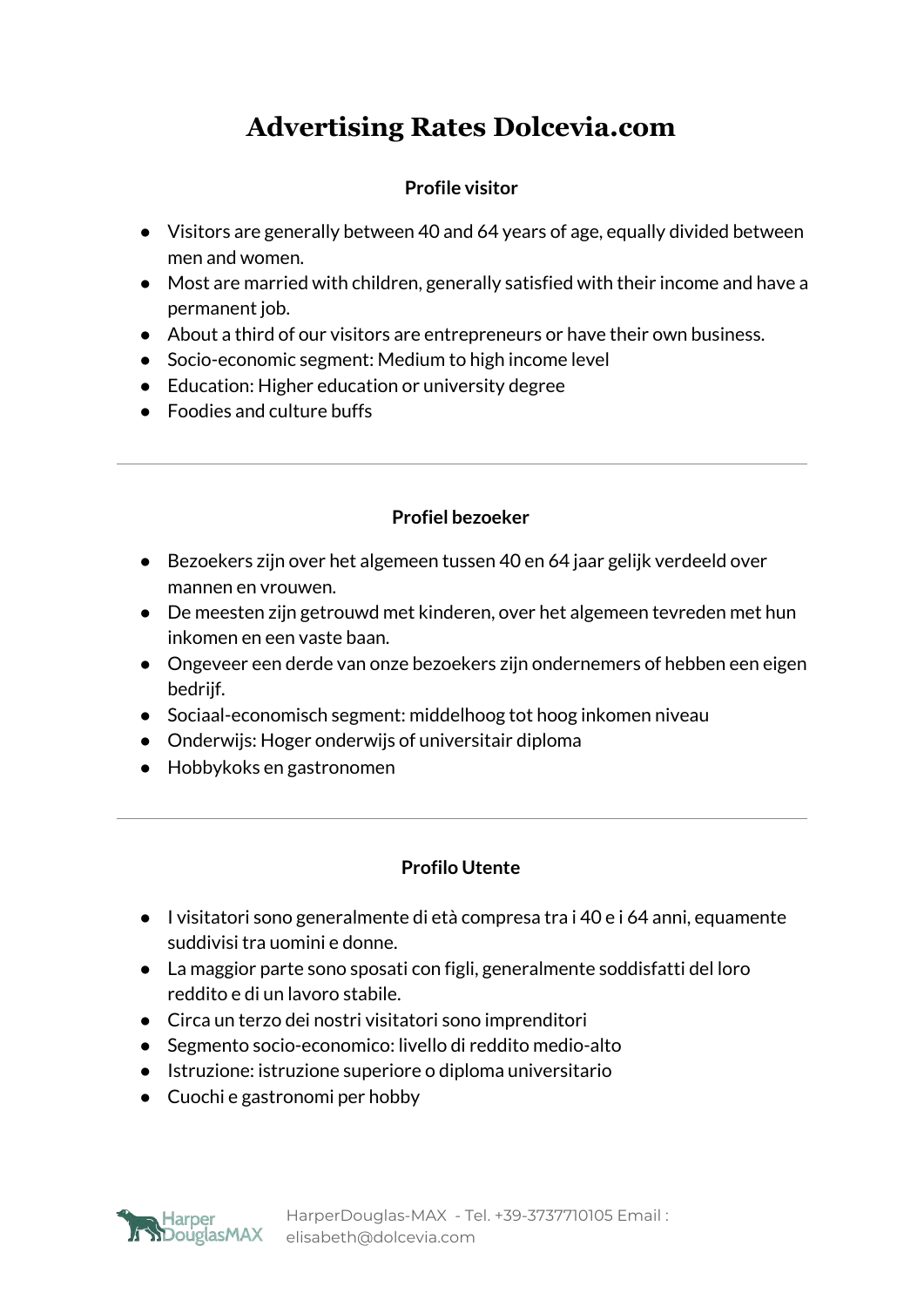# **Advertising Rates Dolcevia.com**

#### **Profile visitor**

- Visitors are generally between 40 and 64 years of age, equally divided between men and women.
- Most are married with children, generally satisfied with their income and have a permanent job.
- About a third of our visitors are entrepreneurs or have their own business.
- Socio-economic segment: Medium to high income level
- Education: Higher education or university degree
- Foodies and culture buffs

#### **Profiel bezoeker**

- Bezoekers zijn over het algemeen tussen 40 en 64 jaar gelijk verdeeld over mannen en vrouwen.
- De meesten zijn getrouwd met kinderen, over het algemeen tevreden met hun inkomen en een vaste baan.
- Ongeveer een derde van onze bezoekers zijn ondernemers of hebben een eigen bedrijf.
- Sociaal-economisch segment: middelhoog tot hoog inkomen niveau
- Onderwijs: Hoger onderwijs of universitair diploma
- Hobbykoks en gastronomen

### **Profilo Utente**

- I visitatori sono generalmente di età compresa tra i 40 e i 64 anni, equamente suddivisi tra uomini e donne.
- La maggior parte sono sposati con figli, generalmente soddisfatti del loro reddito e di un lavoro stabile.
- Circa un terzo dei nostri visitatori sono imprenditori
- Segmento socio-economico: livello di reddito medio-alto
- Istruzione: istruzione superiore o diploma universitario
- Cuochi e gastronomi per hobby

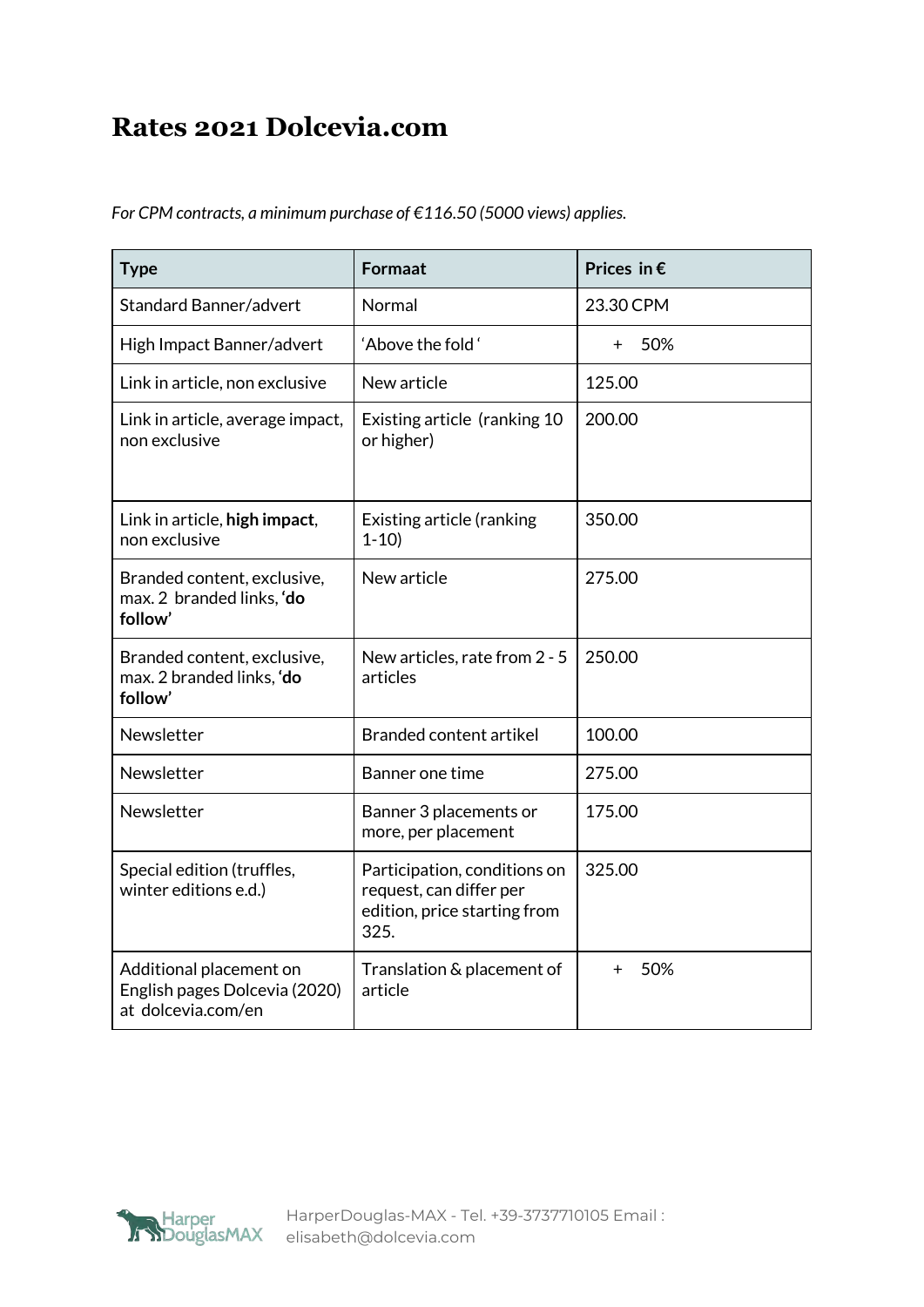## **Rates 2021 Dolcevia.com**

*For CPM contracts, a minimum purchase of €116.50 (5000 views) applies.* 

| <b>Type</b>                                                                    | <b>Formaat</b>                                                                                  | Prices in $\epsilon$ |
|--------------------------------------------------------------------------------|-------------------------------------------------------------------------------------------------|----------------------|
| Standard Banner/advert                                                         | Normal                                                                                          | 23.30 CPM            |
| High Impact Banner/advert                                                      | 'Above the fold'                                                                                | 50%<br>$+$           |
| Link in article, non exclusive                                                 | New article                                                                                     | 125.00               |
| Link in article, average impact,<br>non exclusive                              | Existing article (ranking 10<br>or higher)                                                      | 200.00               |
| Link in article, high impact,<br>non exclusive                                 | Existing article (ranking<br>$1-10$                                                             | 350.00               |
| Branded content, exclusive,<br>max. 2 branded links, 'do<br>follow'            | New article                                                                                     | 275.00               |
| Branded content, exclusive,<br>max. 2 branded links, 'do<br>follow'            | New articles, rate from 2 - 5<br>articles                                                       | 250.00               |
| Newsletter                                                                     | <b>Branded content artikel</b>                                                                  | 100.00               |
| Newsletter                                                                     | Banner one time                                                                                 | 275.00               |
| Newsletter                                                                     | Banner 3 placements or<br>more, per placement                                                   | 175.00               |
| Special edition (truffles,<br>winter editions e.d.)                            | Participation, conditions on<br>request, can differ per<br>edition, price starting from<br>325. | 325.00               |
| Additional placement on<br>English pages Dolcevia (2020)<br>at dolcevia.com/en | Translation & placement of<br>article                                                           | 50%<br>$+$           |

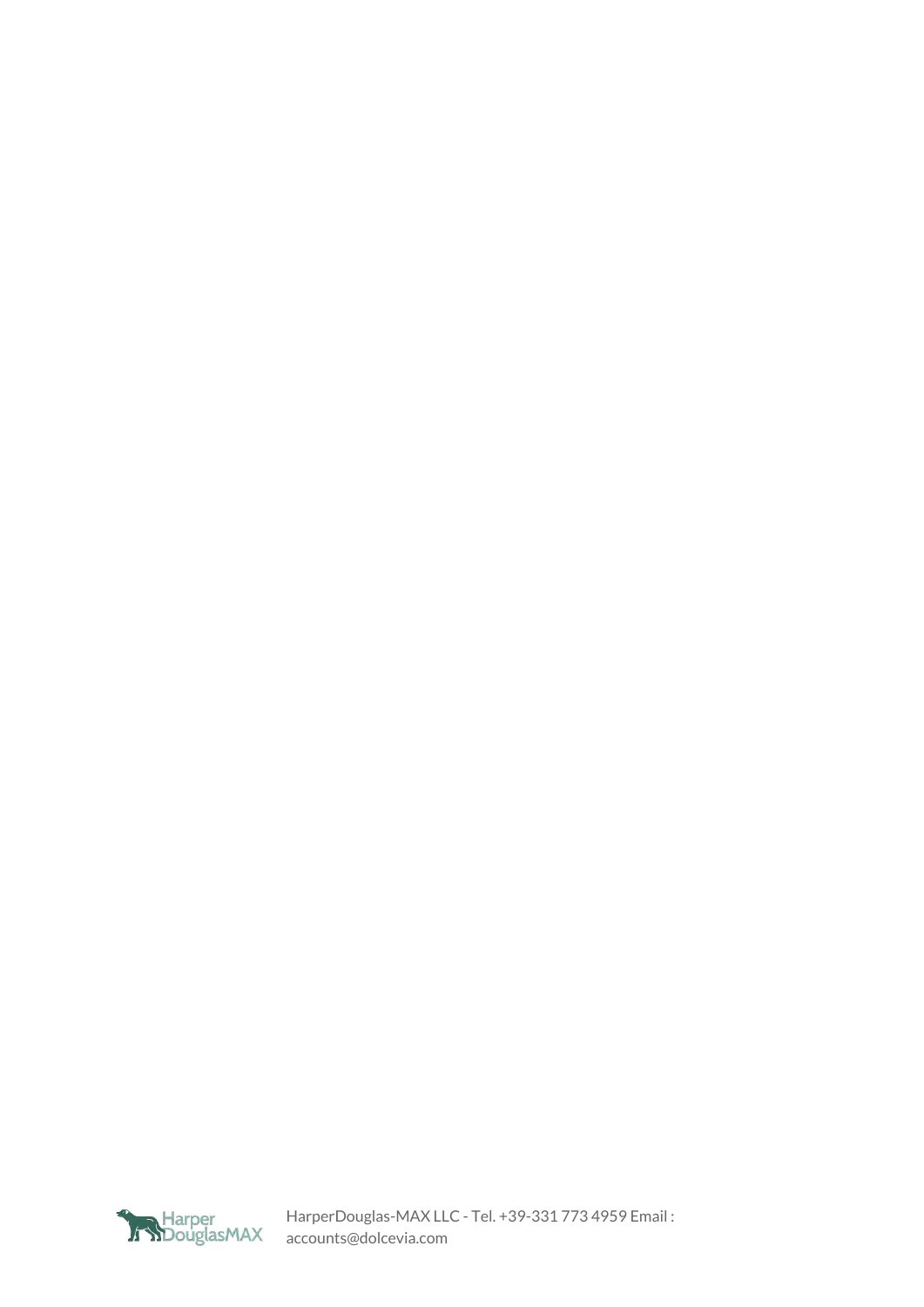

HarperDouglas-MAX LLC - Tel. +39-331 773 4959 Email :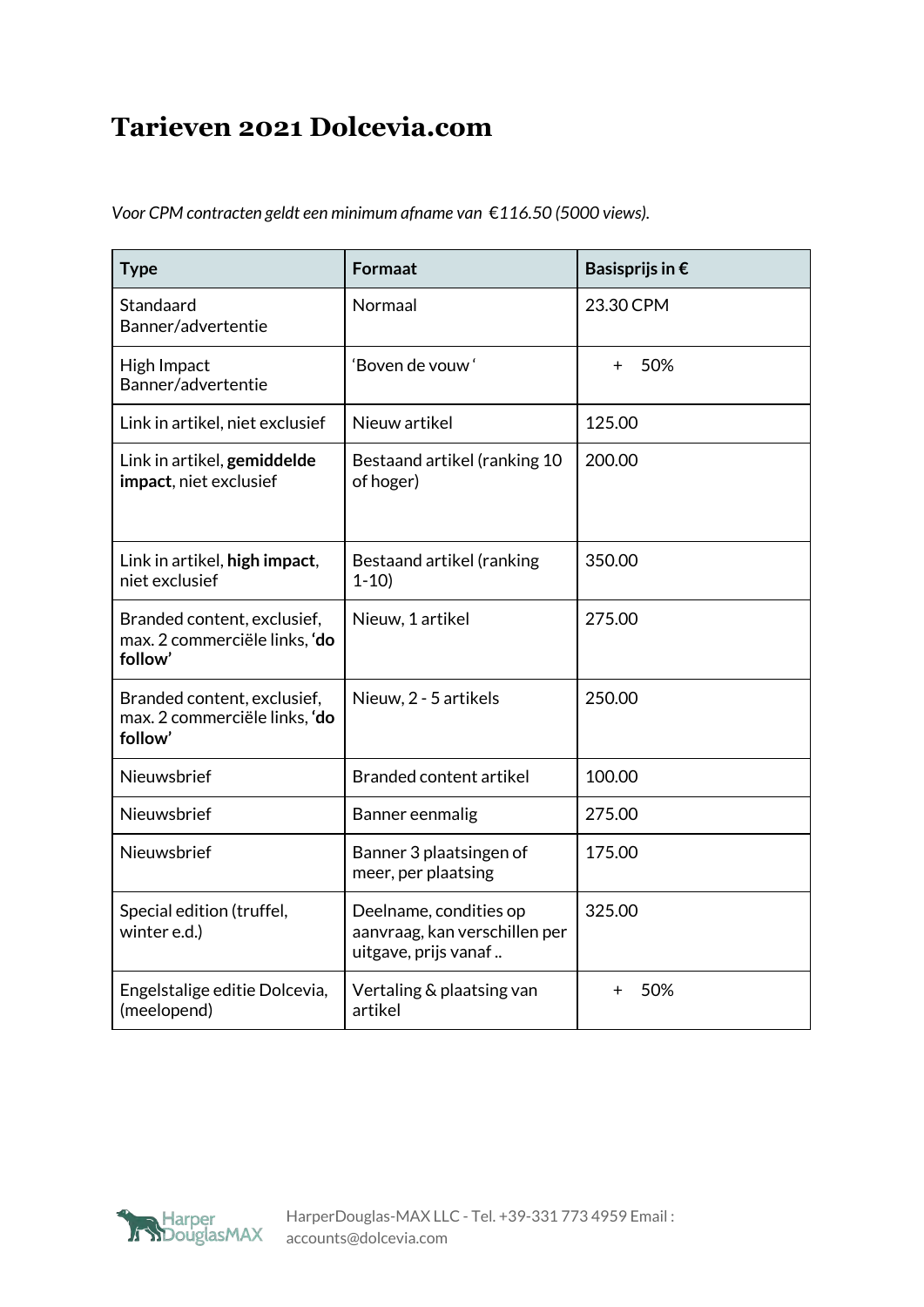## **Tarieven 2021 Dolcevia.com**

| <b>Type</b>                                                             | <b>Formaat</b>                                                                  | Basisprijs in $\epsilon$ |
|-------------------------------------------------------------------------|---------------------------------------------------------------------------------|--------------------------|
| Standaard<br>Banner/advertentie                                         | Normaal                                                                         | 23.30 CPM                |
| High Impact<br>Banner/advertentie                                       | 'Boven de vouw'                                                                 | 50%<br>$\ddag$           |
| Link in artikel, niet exclusief                                         | Nieuw artikel                                                                   | 125.00                   |
| Link in artikel, gemiddelde<br>impact, niet exclusief                   | Bestaand artikel (ranking 10<br>of hoger)                                       | 200.00                   |
| Link in artikel, high impact,<br>niet exclusief                         | Bestaand artikel (ranking<br>$1 - 10$                                           | 350.00                   |
| Branded content, exclusief,<br>max. 2 commerciële links, 'do<br>follow' | Nieuw, 1 artikel                                                                | 275.00                   |
| Branded content, exclusief,<br>max. 2 commerciële links, 'do<br>follow' | Nieuw, 2 - 5 artikels                                                           | 250.00                   |
| Nieuwsbrief                                                             | <b>Branded content artikel</b>                                                  | 100.00                   |
| Nieuwsbrief                                                             | Banner eenmalig                                                                 | 275.00                   |
| Nieuwsbrief                                                             | Banner 3 plaatsingen of<br>meer, per plaatsing                                  | 175.00                   |
| Special edition (truffel,<br>winter e.d.)                               | Deelname, condities op<br>aanvraag, kan verschillen per<br>uitgave, prijs vanaf | 325.00                   |
| Engelstalige editie Dolcevia,<br>(meelopend)                            | Vertaling & plaatsing van<br>artikel                                            | 50%<br>$+$               |

*Voor CPM contracten geldt een minimum afname van* €*116.50 (5000 views).* 



HarperDouglas-MAX LLC - Tel. +39-331 773 4959 Email : accounts@dolcevia.com